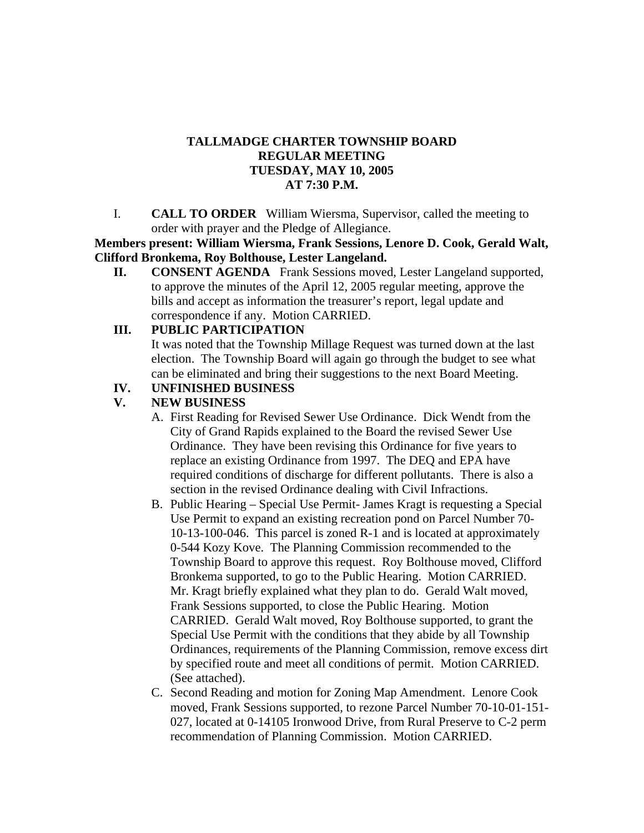# **TALLMADGE CHARTER TOWNSHIP BOARD REGULAR MEETING TUESDAY, MAY 10, 2005 AT 7:30 P.M.**

I. **CALL TO ORDER** William Wiersma, Supervisor, called the meeting to order with prayer and the Pledge of Allegiance.

**Members present: William Wiersma, Frank Sessions, Lenore D. Cook, Gerald Walt, Clifford Bronkema, Roy Bolthouse, Lester Langeland.**

**II. CONSENT AGENDA** Frank Sessions moved, Lester Langeland supported, to approve the minutes of the April 12, 2005 regular meeting, approve the bills and accept as information the treasurer's report, legal update and correspondence if any. Motion CARRIED.

## **III. PUBLIC PARTICIPATION**

It was noted that the Township Millage Request was turned down at the last election. The Township Board will again go through the budget to see what can be eliminated and bring their suggestions to the next Board Meeting.

## **IV. UNFINISHED BUSINESS**

# **V. NEW BUSINESS**

- A. First Reading for Revised Sewer Use Ordinance. Dick Wendt from the City of Grand Rapids explained to the Board the revised Sewer Use Ordinance. They have been revising this Ordinance for five years to replace an existing Ordinance from 1997. The DEQ and EPA have required conditions of discharge for different pollutants. There is also a section in the revised Ordinance dealing with Civil Infractions.
- B. Public Hearing Special Use Permit- James Kragt is requesting a Special Use Permit to expand an existing recreation pond on Parcel Number 70- 10-13-100-046. This parcel is zoned R-1 and is located at approximately 0-544 Kozy Kove. The Planning Commission recommended to the Township Board to approve this request. Roy Bolthouse moved, Clifford Bronkema supported, to go to the Public Hearing. Motion CARRIED. Mr. Kragt briefly explained what they plan to do. Gerald Walt moved, Frank Sessions supported, to close the Public Hearing. Motion CARRIED. Gerald Walt moved, Roy Bolthouse supported, to grant the Special Use Permit with the conditions that they abide by all Township Ordinances, requirements of the Planning Commission, remove excess dirt by specified route and meet all conditions of permit. Motion CARRIED. (See attached).
- C. Second Reading and motion for Zoning Map Amendment. Lenore Cook moved, Frank Sessions supported, to rezone Parcel Number 70-10-01-151- 027, located at 0-14105 Ironwood Drive, from Rural Preserve to C-2 perm recommendation of Planning Commission. Motion CARRIED.